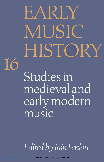# EARLY MUSIC HISTORY

Studies in medieval and early modern music

16

Edited by Iain Fenlon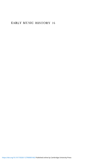### EARLY MUSIC HISTORY 16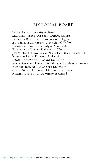## EDITORIAL BOARD

WULF ARLT, University of Basel MARGARET BENT, All Souls College, Oxford LORENZO BIANCONI, University of Bologna BONNIE J. BLACKBURN, University of Oxford DAVID FALLOWS, University of Manchester F. ALBERTO GALLO, University of Bologna JAMES HAAR, University of North Carolina at Chapel Hill KENNETH LEVY, Princeton University LEWIS LOCKWOOD, Harvard University FRITZ RECKOW, Universitat Erlangen-Niirnberg, Germany EDWARD ROESNER, New York University COLIN SLIM, University of California at Irvine REINHARD STROHM, University of Oxford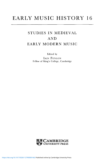# EARLY MUSIC HISTORY 16

# STUDIES IN MEDIEVAL AND EARLY MODERN MUSIC

Edited by

IAIN FENLON Fellow of King's College, Cambridge

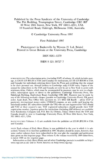Published by the Press Syndicate of the University of Cambridge The Pitt Building, Trumpington Street, Cambridge CB2 1RP 40 West 20th Street, New York, NY 10011-4211, USA<br>10 Stamford Road. Oakleigh. Melbourne 3166. Australia

© Cambridge University Press 1997

First Published 1997

Phototypeset in Baskerville by Wyvern 21 Ltd, Bristol Printed in Great Britain at the University Press, Cambridge

#### ISSN 0261-1279

ISBN0 521 59727 7

SUBSCRIPTIONS The subscription price (excluding VAT) of volume 16, which includes postage, is £56.00 (US \$95.00 in USA and Canada) for institutions, £37.00 (US \$59.00 in USA and Canada) for individuals ordering direct from the Press and certifying that the annual is for their personal use. Airmail (orders to Cambridge only) £10.00 extra. Copies of the annual for subscribers in the USA and Canada are sent by air to New York to arrive with minimum delay. Orders, which must be accompanied by payment, may be sent to a bookseller, subscription agent or direct to the publishers: Cambridge University Press, The Edinburgh Building, Shaftesbury Road, Cambridge CB2 2RU. Payment may be made by any of the following methods: cheque (payable to Cambridge University Press), UK postal order, bank draft, Post Office Giro (account no. 571 6055 GB Bootle - advise CUP of payment), international money order, UNESCO coupons, or any credit card bearing the Interbank symbol. EU subscribers (outside the UK) who are not registered for VAT should add VAT at their country's rate. VAT registered subscribers should provide their VAT registration number. Japanese prices for institutions (including ASP delivery) are available from Kinokuniya Company Ltd, P.O. Box 55, Chitose, Tokyo. Orders from the USA and Canada should be sent to Cambridge University Press, 40 West 20th Street, New York, NY 10011-4211, USA.

BACK VOLUMES Volumes 1-15 are available from the publisher at £53.00 (\$92.00 in USA and Canada).

NOTE Each volume *of Early Music History* is now published in the year in which it is subscribed. Volume 16 is therefore published in 1997. Readers should be aware, however, that some earlier volumes have been subscribed in the year *after* the copyright and publication date given on this imprints page. Thus volume 8, the volume received by 1989 subscribers, is dated 1988 on the imprints page.

Information on *Early Music History* and all other Cambridge journals is available on hup:// www.cup.cam.ac.uk/ and in North America on http://www.cup.org/.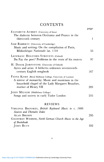## **CONTENTS**

|                                                                                                                                                                                          | page         |
|------------------------------------------------------------------------------------------------------------------------------------------------------------------------------------------|--------------|
| ELIZABETH AUBREY (University of Iowa)<br>The dialectic between Occitania and France in the<br>thirteenth century                                                                         | $\mathbf{1}$ |
| SAM BARRETT (University of Cambridge)<br>Music and writing: On the compilation of Paris,<br>Bibliothèque Nationale lat. 1154                                                             | 55           |
| LEOFRANC HOLFORD-STREVENS (Oxford)<br>Du Fay the poet? Problems in the texts of his motets                                                                                               | 97           |
| H. DIACK JOHNSTONE (University of Oxford)<br>Ayres and arias: A hitherto unknown seventeenth-<br>century English songbook                                                                | 167          |
| FIONA KISBY (Royal Holloway College, University of London)<br>A mirror of monarchy: Music and musicians in the<br>household chapel of the Lady Margaret Beaufort,<br>mother of Henry VII | 203          |
| JOHN MILSOM (Middlebury College)<br>Songs and society in early Tudor London                                                                                                              | 235          |
| <b>REVIEWS</b>                                                                                                                                                                           |              |
| VIRGINIA BROOKES, British Keyboard Music to c. 1600:<br>Sources and Thematic Index                                                                                                       |              |
| <b>ALAN BROWN</b>                                                                                                                                                                        | 295          |
| GEOFFREY WEBBER, North German Church Music in the Age<br>of Buxtehude                                                                                                                    |              |
| JOHN BUTT                                                                                                                                                                                | 302          |